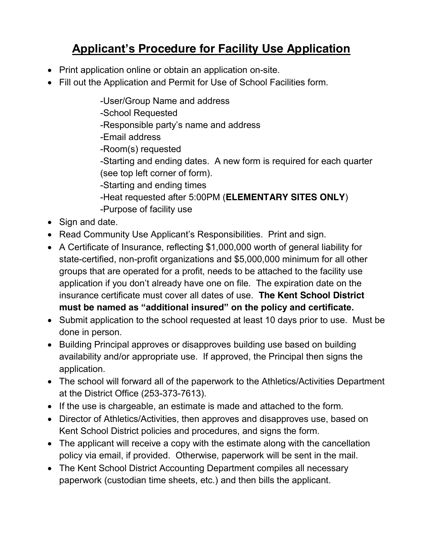# **Applicant's Procedure for Facility Use Application**

- Print application online or obtain an application on-site.
- Fill out the Application and Permit for Use of School Facilities form.
	- -User/Group Name and address
	- -School Requested
	- -Responsible party's name and address
	- -Email address
	- -Room(s) requested
	- -Starting and ending dates. A new form is required for each quarter (see top left corner of form).
	- -Starting and ending times
	- -Heat requested after 5:00PM (**ELEMENTARY SITES ONLY**) -Purpose of facility use
- $\bullet$  Sign and date.
- Read Community Use Applicant's Responsibilities. Print and sign.
- A Certificate of Insurance, reflecting \$1,000,000 worth of general liability for state-certified, non-profit organizations and \$5,000,000 minimum for all other groups that are operated for a profit, needs to be attached to the facility use application if you don't already have one on file. The expiration date on the insurance certificate must cover all dates of use. **The Kent School District must be named as "additional insured" on the policy and certificate.**
- Submit application to the school requested at least 10 days prior to use. Must be done in person.
- Building Principal approves or disapproves building use based on building availability and/or appropriate use. If approved, the Principal then signs the application.
- The school will forward all of the paperwork to the Athletics/Activities Department at the District Office (253-373-7613).
- If the use is chargeable, an estimate is made and attached to the form.
- Director of Athletics/Activities, then approves and disapproves use, based on Kent School District policies and procedures, and signs the form.
- The applicant will receive a copy with the estimate along with the cancellation policy via email, if provided. Otherwise, paperwork will be sent in the mail.
- The Kent School District Accounting Department compiles all necessary paperwork (custodian time sheets, etc.) and then bills the applicant.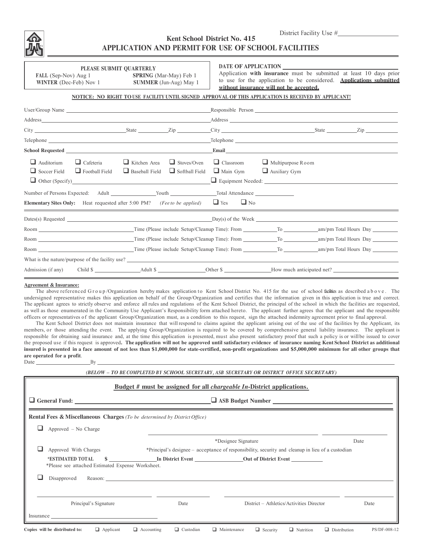

## **Kent School District No. 415 APPLICATION AND PERMIT FOR USE OF SCHOOL FACILITIES**

**PLEASE SUBMIT QUARTERLY**<br>**FALL** (Sep-Nov) Aug 1 **SPRING FALL** (Sep-Nov) Aug 1 **SPRING** (Mar-May) Feb 1 **WINTER** (Dec-Feb) Nov 1 **SUMMER** (Jun-Aug) May

**SUMMER** (Jun-Aug) May 1

#### **DATE OF APPLICATION**

Application **with insurance** must be submitted at least 10 days prior to use for the application to be considered. **Applications submitted without insurance will not be accepted.**

#### **NOTICE: NO RIGHT TO USE FACILITY UNTIL SIGNED APPROVAL OF THIS APPLICATION IS RECEIVED BY APPLICANT!**

| User/Group Name                                                                 |                                           |                                              |                                             |                                     |                                                  |                                                                                                                                                                                                                                |  |
|---------------------------------------------------------------------------------|-------------------------------------------|----------------------------------------------|---------------------------------------------|-------------------------------------|--------------------------------------------------|--------------------------------------------------------------------------------------------------------------------------------------------------------------------------------------------------------------------------------|--|
|                                                                                 |                                           |                                              |                                             |                                     |                                                  |                                                                                                                                                                                                                                |  |
|                                                                                 |                                           |                                              |                                             |                                     |                                                  |                                                                                                                                                                                                                                |  |
|                                                                                 |                                           |                                              |                                             |                                     |                                                  | Telephone Telephone and the contract of the contract of the contract of the contract of the contract of the contract of the contract of the contract of the contract of the contract of the contract of the contract of the co |  |
|                                                                                 |                                           |                                              |                                             |                                     |                                                  |                                                                                                                                                                                                                                |  |
| $\Box$ Auditorium<br>$\Box$ Soccer Field                                        | $\Box$ Cafeteria<br>$\Box$ Football Field | $\Box$ Kitchen Area<br>$\Box$ Baseball Field | $\Box$ Stoves/Oven<br>$\Box$ Softball Field | $\Box$ Classroom<br>$\Box$ Main Gym | $\Box$ Multipurpose Room<br>$\Box$ Auxiliary Gym |                                                                                                                                                                                                                                |  |
| <b>Elementary Sites Only:</b> Heat requested after 5:00 PM? (Fee to be applied) |                                           |                                              |                                             | $\Box$ Yes<br>$\Box$ No             |                                                  |                                                                                                                                                                                                                                |  |
|                                                                                 |                                           |                                              |                                             |                                     |                                                  |                                                                                                                                                                                                                                |  |
|                                                                                 |                                           |                                              |                                             |                                     |                                                  |                                                                                                                                                                                                                                |  |
|                                                                                 |                                           |                                              |                                             |                                     |                                                  |                                                                                                                                                                                                                                |  |
|                                                                                 |                                           |                                              |                                             |                                     |                                                  |                                                                                                                                                                                                                                |  |
| What is the nature/purpose of the facility use?                                 |                                           |                                              |                                             |                                     |                                                  |                                                                                                                                                                                                                                |  |
|                                                                                 |                                           |                                              |                                             |                                     |                                                  | Admission (if any) Child \$                                                                                                                                                                                                    |  |

#### **Agreement & Insurance:**

The above referenced Group/Organization hereby makes application to Kent School District No. 415 for the use of school facilities as described above. The undersigned representative makes this application on behalf of the Group/Organization and certifies that the information given in this application is true and correct. The applicant agrees to strictly observe and enforce all rules and regulations of the Kent School District, the principal of the school in which the facilities are requested, as well as those enumerated in the Community Use Applicant's Responsibility form attached hereto. The applicant further agrees that the applicant and the responsible officers or representatives of the applicant Group/Organization must, as a condition to this request, sign the attached indemnity agreement prior to final approval.

The Kent School District does not maintain insurance that will respond to claims against the applicant arising out of the use of the facilities by the Applicant, its members, or those attending the event. The applying Group/Organization is required to be covered by comprehensive general liability insurance. The applicant is responsible for obtaining said insurance and, at the time this application is presented, must also present satisfactory proof that such a policy is or will be issued to cover the proposed use if this request is approved. The application will not be approved until satisfactory evidence of insurance naming Kent School District as additional insured is presented in a face amount of not less than \$1,000,000 for state-certified, non-profit organizations and \$5,000,000 minimum for all other groups that **are operated for a profit**. Date

| (BELOW - TO BE COMPLETED BY SCHOOL SECRETARY, ASB SECRETARY OR DISTRICT OFFICE SECRETARY) |                                                                                                   |                                          |      |  |  |  |  |  |  |  |
|-------------------------------------------------------------------------------------------|---------------------------------------------------------------------------------------------------|------------------------------------------|------|--|--|--|--|--|--|--|
| Budget # must be assigned for all <i>chargeable In</i> -District applications.            |                                                                                                   |                                          |      |  |  |  |  |  |  |  |
| $\Box$ General Fund: $\Box$                                                               | $\Box$ ASB Budget Number                                                                          |                                          |      |  |  |  |  |  |  |  |
| Rental Fees & Miscellaneous Charges (To be determined by District Office)                 |                                                                                                   |                                          |      |  |  |  |  |  |  |  |
| Approved - No Charge                                                                      |                                                                                                   |                                          |      |  |  |  |  |  |  |  |
|                                                                                           | *Designee Signature<br>Date                                                                       |                                          |      |  |  |  |  |  |  |  |
| Approved With Charges                                                                     | *Principal's designee – acceptance of responsibility, security and cleanup in lieu of a custodian |                                          |      |  |  |  |  |  |  |  |
| *ESTIMATED TOTAL<br>*Please see attached Estimated Expense Worksheet.                     |                                                                                                   | \$                                       |      |  |  |  |  |  |  |  |
| Disapproved                                                                               |                                                                                                   | Reason:                                  |      |  |  |  |  |  |  |  |
|                                                                                           |                                                                                                   |                                          |      |  |  |  |  |  |  |  |
| Principal's Signature                                                                     | Date                                                                                              | District – Athletics/Activities Director | Date |  |  |  |  |  |  |  |
| Insurance                                                                                 |                                                                                                   |                                          |      |  |  |  |  |  |  |  |